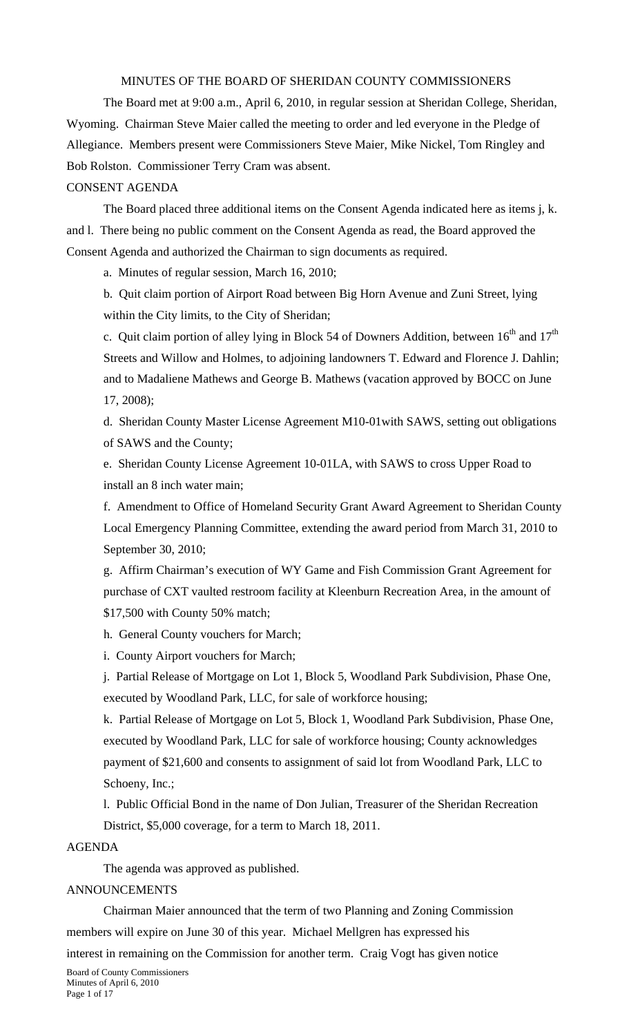## MINUTES OF THE BOARD OF SHERIDAN COUNTY COMMISSIONERS

 The Board met at 9:00 a.m., April 6, 2010, in regular session at Sheridan College, Sheridan, Wyoming. Chairman Steve Maier called the meeting to order and led everyone in the Pledge of Allegiance. Members present were Commissioners Steve Maier, Mike Nickel, Tom Ringley and Bob Rolston. Commissioner Terry Cram was absent.

#### CONSENT AGENDA

The Board placed three additional items on the Consent Agenda indicated here as items j, k. and l. There being no public comment on the Consent Agenda as read, the Board approved the Consent Agenda and authorized the Chairman to sign documents as required.

a. Minutes of regular session, March 16, 2010;

b. Quit claim portion of Airport Road between Big Horn Avenue and Zuni Street, lying within the City limits, to the City of Sheridan;

c. Quit claim portion of alley lying in Block 54 of Downers Addition, between  $16^{th}$  and  $17^{th}$ Streets and Willow and Holmes, to adjoining landowners T. Edward and Florence J. Dahlin; and to Madaliene Mathews and George B. Mathews (vacation approved by BOCC on June 17, 2008);

d. Sheridan County Master License Agreement M10-01with SAWS, setting out obligations of SAWS and the County;

e. Sheridan County License Agreement 10-01LA, with SAWS to cross Upper Road to install an 8 inch water main;

f. Amendment to Office of Homeland Security Grant Award Agreement to Sheridan County Local Emergency Planning Committee, extending the award period from March 31, 2010 to September 30, 2010;

g. Affirm Chairman's execution of WY Game and Fish Commission Grant Agreement for purchase of CXT vaulted restroom facility at Kleenburn Recreation Area, in the amount of \$17,500 with County 50% match;

h. General County vouchers for March;

i. County Airport vouchers for March;

j. Partial Release of Mortgage on Lot 1, Block 5, Woodland Park Subdivision, Phase One, executed by Woodland Park, LLC, for sale of workforce housing;

k. Partial Release of Mortgage on Lot 5, Block 1, Woodland Park Subdivision, Phase One, executed by Woodland Park, LLC for sale of workforce housing; County acknowledges payment of \$21,600 and consents to assignment of said lot from Woodland Park, LLC to Schoeny, Inc.;

l. Public Official Bond in the name of Don Julian, Treasurer of the Sheridan Recreation District, \$5,000 coverage, for a term to March 18, 2011.

#### AGENDA

The agenda was approved as published.

#### ANNOUNCEMENTS

Chairman Maier announced that the term of two Planning and Zoning Commission members will expire on June 30 of this year. Michael Mellgren has expressed his

interest in remaining on the Commission for another term. Craig Vogt has given notice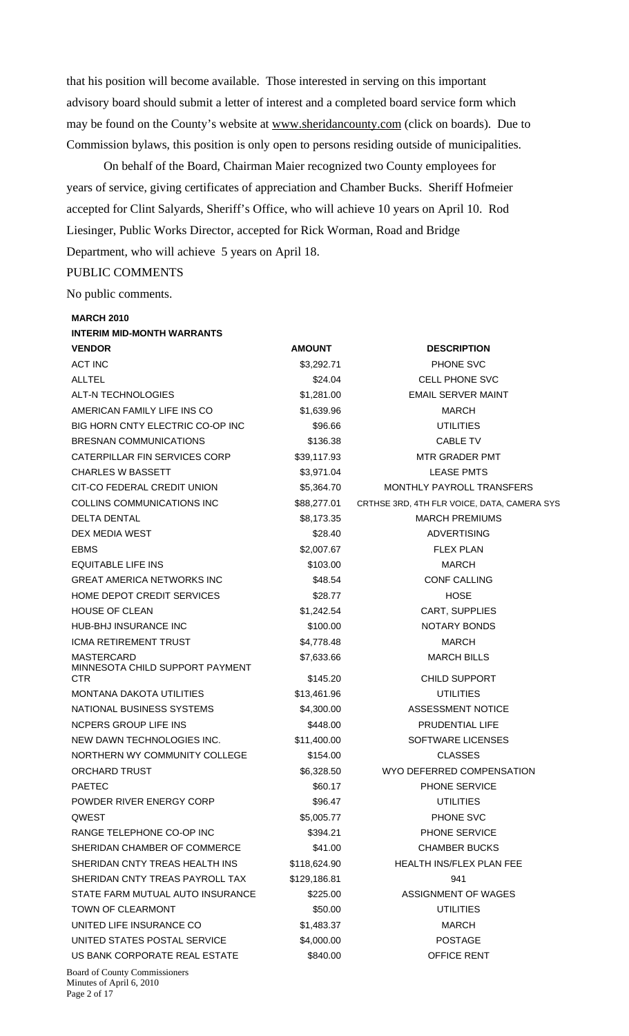that his position will become available. Those interested in serving on this important advisory board should submit a letter of interest and a completed board service form which may be found on the County's website at www.sheridancounty.com (click on boards). Due to Commission bylaws, this position is only open to persons residing outside of municipalities.

 On behalf of the Board, Chairman Maier recognized two County employees for years of service, giving certificates of appreciation and Chamber Bucks. Sheriff Hofmeier accepted for Clint Salyards, Sheriff's Office, who will achieve 10 years on April 10. Rod Liesinger, Public Works Director, accepted for Rick Worman, Road and Bridge Department, who will achieve 5 years on April 18.

## PUBLIC COMMENTS

No public comments.

| <b>MARCH 2010</b>                       |               |                                             |
|-----------------------------------------|---------------|---------------------------------------------|
| <b>INTERIM MID-MONTH WARRANTS</b>       |               |                                             |
| <b>VENDOR</b>                           | <b>AMOUNT</b> | <b>DESCRIPTION</b>                          |
| <b>ACT INC</b>                          | \$3,292.71    | PHONE SVC                                   |
| <b>ALLTEL</b>                           | \$24.04       | <b>CELL PHONE SVC</b>                       |
| ALT-N TECHNOLOGIES                      | \$1,281.00    | EMAIL SERVER MAINT                          |
| AMERICAN FAMILY LIFE INS CO             | \$1,639.96    | <b>MARCH</b>                                |
| BIG HORN CNTY ELECTRIC CO-OP INC        | \$96.66       | <b>UTILITIES</b>                            |
| <b>BRESNAN COMMUNICATIONS</b>           | \$136.38      | <b>CABLE TV</b>                             |
| CATERPILLAR FIN SERVICES CORP           | \$39,117.93   | <b>MTR GRADER PMT</b>                       |
| <b>CHARLES W BASSETT</b>                | \$3,971.04    | <b>LEASE PMTS</b>                           |
| CIT-CO FEDERAL CREDIT UNION             | \$5,364.70    | MONTHLY PAYROLL TRANSFERS                   |
| COLLINS COMMUNICATIONS INC              | \$88,277.01   | CRTHSE 3RD, 4TH FLR VOICE, DATA, CAMERA SYS |
| DELTA DENTAL                            | \$8,173.35    | <b>MARCH PREMIUMS</b>                       |
| DEX MEDIA WEST                          | \$28.40       | <b>ADVERTISING</b>                          |
| <b>EBMS</b>                             | \$2,007.67    | <b>FLEX PLAN</b>                            |
| <b>EQUITABLE LIFE INS</b>               | \$103.00      | <b>MARCH</b>                                |
| <b>GREAT AMERICA NETWORKS INC</b>       | \$48.54       | <b>CONF CALLING</b>                         |
| HOME DEPOT CREDIT SERVICES              | \$28.77       | <b>HOSE</b>                                 |
| <b>HOUSE OF CLEAN</b>                   | \$1,242.54    | CART, SUPPLIES                              |
| HUB-BHJ INSURANCE INC                   | \$100.00      | NOTARY BONDS                                |
| ICMA RETIREMENT TRUST                   | \$4,778.48    | <b>MARCH</b>                                |
| <b>MASTERCARD</b>                       | \$7,633.66    | <b>MARCH BILLS</b>                          |
| MINNESOTA CHILD SUPPORT PAYMENT<br>CTR. | \$145.20      | <b>CHILD SUPPORT</b>                        |
| MONTANA DAKOTA UTILITIES                | \$13,461.96   | UTILITIES                                   |
| NATIONAL BUSINESS SYSTEMS               | \$4,300.00    | <b>ASSESSMENT NOTICE</b>                    |
| NCPERS GROUP LIFE INS                   | \$448.00      | <b>PRUDENTIAL LIFE</b>                      |
| NEW DAWN TECHNOLOGIES INC.              | \$11,400.00   | SOFTWARE LICENSES                           |
| NORTHERN WY COMMUNITY COLLEGE           | \$154.00      | <b>CLASSES</b>                              |
| ORCHARD TRUST                           | \$6,328.50    | WYO DEFERRED COMPENSATION                   |
| <b>PAETEC</b>                           | \$60.17       | PHONE SERVICE                               |
| POWDER RIVER ENERGY CORP                | \$96.47       | <b>UTILITIES</b>                            |
| QWEST                                   | \$5,005.77    | PHONE SVC                                   |
| RANGE TELEPHONE CO-OP INC               | \$394.21      | PHONE SERVICE                               |
| SHERIDAN CHAMBER OF COMMERCE            | \$41.00       | <b>CHAMBER BUCKS</b>                        |
| SHERIDAN CNTY TREAS HEALTH INS          | \$118,624.90  | <b>HEALTH INS/FLEX PLAN FEE</b>             |
| SHERIDAN CNTY TREAS PAYROLL TAX         | \$129,186.81  | 941                                         |
| STATE FARM MUTUAL AUTO INSURANCE        | \$225.00      | <b>ASSIGNMENT OF WAGES</b>                  |
| TOWN OF CLEARMONT                       | \$50.00       | <b>UTILITIES</b>                            |
| UNITED LIFE INSURANCE CO                | \$1,483.37    | <b>MARCH</b>                                |
| UNITED STATES POSTAL SERVICE            | \$4,000.00    | <b>POSTAGE</b>                              |
| US BANK CORPORATE REAL ESTATE           | \$840.00      | OFFICE RENT                                 |
| <b>Board of County Commissioners</b>    |               |                                             |

Minutes of April 6, 2010 Page 2 of 17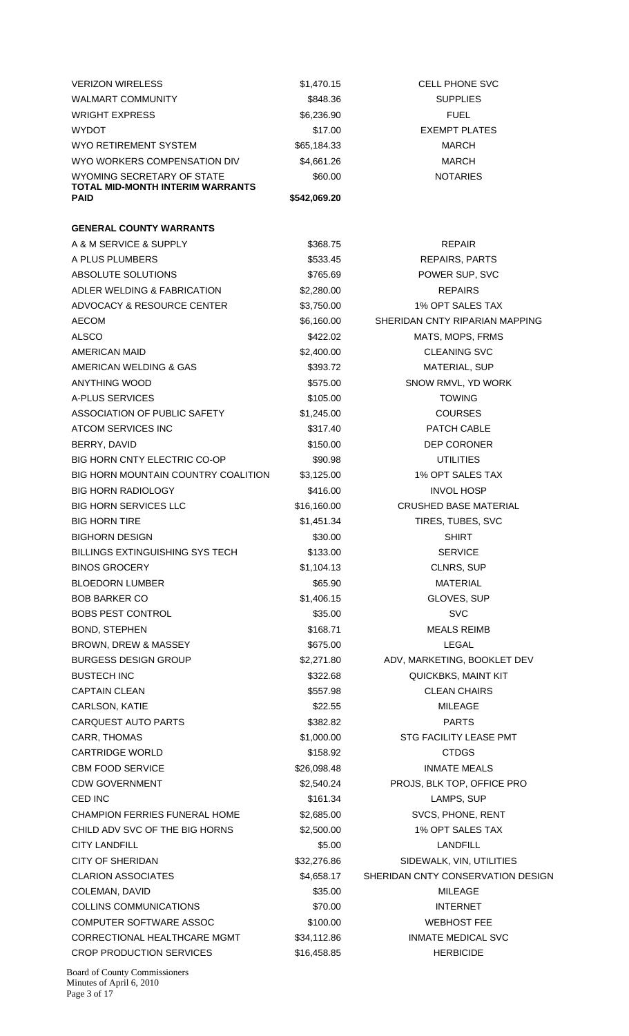| <b>VERIZON WIRELESS</b>                         | \$1,470.15   | <b>CELL PHONE SVC</b>             |
|-------------------------------------------------|--------------|-----------------------------------|
| <b>WALMART COMMUNITY</b>                        | \$848.36     | <b>SUPPLIES</b>                   |
| <b>WRIGHT EXPRESS</b>                           | \$6,236.90   | <b>FUEL</b>                       |
| <b>WYDOT</b>                                    | \$17.00      | <b>EXEMPT PLATES</b>              |
| WYO RETIREMENT SYSTEM                           | \$65,184.33  | <b>MARCH</b>                      |
| WYO WORKERS COMPENSATION DIV                    | \$4,661.26   | <b>MARCH</b>                      |
| WYOMING SECRETARY OF STATE                      | \$60.00      | <b>NOTARIES</b>                   |
| TOTAL MID-MONTH INTERIM WARRANTS<br><b>PAID</b> |              |                                   |
|                                                 | \$542,069.20 |                                   |
| <b>GENERAL COUNTY WARRANTS</b>                  |              |                                   |
| A & M SERVICE & SUPPLY                          |              | <b>REPAIR</b>                     |
|                                                 | \$368.75     |                                   |
| A PLUS PLUMBERS                                 | \$533.45     | <b>REPAIRS, PARTS</b>             |
| ABSOLUTE SOLUTIONS                              | \$765.69     | POWER SUP, SVC                    |
| ADLER WELDING & FABRICATION                     | \$2,280.00   | <b>REPAIRS</b>                    |
| ADVOCACY & RESOURCE CENTER                      | \$3,750.00   | 1% OPT SALES TAX                  |
| <b>AECOM</b>                                    | \$6,160.00   | SHERIDAN CNTY RIPARIAN MAPPING    |
| <b>ALSCO</b>                                    | \$422.02     | MATS, MOPS, FRMS                  |
| <b>AMERICAN MAID</b>                            | \$2,400.00   | <b>CLEANING SVC</b>               |
| AMERICAN WELDING & GAS                          | \$393.72     | <b>MATERIAL, SUP</b>              |
| <b>ANYTHING WOOD</b>                            | \$575.00     | SNOW RMVL, YD WORK                |
| A-PLUS SERVICES                                 | \$105.00     | <b>TOWING</b>                     |
| ASSOCIATION OF PUBLIC SAFETY                    | \$1,245.00   | <b>COURSES</b>                    |
| ATCOM SERVICES INC                              | \$317.40     | PATCH CABLE                       |
| BERRY, DAVID                                    | \$150.00     | <b>DEP CORONER</b>                |
| <b>BIG HORN CNTY ELECTRIC CO-OP</b>             | \$90.98      | <b>UTILITIES</b>                  |
| BIG HORN MOUNTAIN COUNTRY COALITION             | \$3,125.00   | 1% OPT SALES TAX                  |
| <b>BIG HORN RADIOLOGY</b>                       | \$416.00     | <b>INVOL HOSP</b>                 |
| <b>BIG HORN SERVICES LLC</b>                    | \$16,160.00  | <b>CRUSHED BASE MATERIAL</b>      |
| <b>BIG HORN TIRE</b>                            | \$1,451.34   | TIRES, TUBES, SVC                 |
| <b>BIGHORN DESIGN</b>                           | \$30.00      | <b>SHIRT</b>                      |
| <b>BILLINGS EXTINGUISHING SYS TECH</b>          | \$133.00     | <b>SERVICE</b>                    |
| <b>BINOS GROCERY</b>                            | \$1,104.13   | CLNRS, SUP                        |
| <b>BLOEDORN LUMBER</b>                          | \$65.90      | <b>MATERIAL</b>                   |
| <b>BOB BARKER CO</b>                            | \$1,406.15   | GLOVES, SUP                       |
| <b>BOBS PEST CONTROL</b>                        | \$35.00      | <b>SVC</b>                        |
| <b>BOND, STEPHEN</b>                            | \$168.71     | <b>MEALS REIMB</b>                |
| BROWN, DREW & MASSEY                            | \$675.00     | LEGAL                             |
| <b>BURGESS DESIGN GROUP</b>                     | \$2,271.80   | ADV, MARKETING, BOOKLET DEV       |
| <b>BUSTECH INC</b>                              | \$322.68     | QUICKBKS, MAINT KIT               |
| <b>CAPTAIN CLEAN</b>                            | \$557.98     | <b>CLEAN CHAIRS</b>               |
| CARLSON, KATIE                                  | \$22.55      | <b>MILEAGE</b>                    |
| CARQUEST AUTO PARTS                             | \$382.82     | <b>PARTS</b>                      |
| CARR, THOMAS                                    | \$1,000.00   | STG FACILITY LEASE PMT            |
| <b>CARTRIDGE WORLD</b>                          | \$158.92     | <b>CTDGS</b>                      |
| <b>CBM FOOD SERVICE</b>                         | \$26,098.48  | <b>INMATE MEALS</b>               |
| <b>CDW GOVERNMENT</b>                           | \$2,540.24   | PROJS, BLK TOP, OFFICE PRO        |
| CED INC                                         | \$161.34     | LAMPS, SUP                        |
| CHAMPION FERRIES FUNERAL HOME                   |              | SVCS, PHONE, RENT                 |
|                                                 | \$2,685.00   |                                   |
| CHILD ADV SVC OF THE BIG HORNS                  | \$2,500.00   | 1% OPT SALES TAX                  |
| <b>CITY LANDFILL</b>                            | \$5.00       | <b>LANDFILL</b>                   |
| <b>CITY OF SHERIDAN</b>                         | \$32,276.86  | SIDEWALK, VIN, UTILITIES          |
| <b>CLARION ASSOCIATES</b>                       | \$4,658.17   | SHERIDAN CNTY CONSERVATION DESIGN |
| COLEMAN, DAVID                                  | \$35.00      | MILEAGE                           |
| <b>COLLINS COMMUNICATIONS</b>                   | \$70.00      | <b>INTERNET</b>                   |
| <b>COMPUTER SOFTWARE ASSOC</b>                  | \$100.00     | <b>WEBHOST FEE</b>                |
| CORRECTIONAL HEALTHCARE MGMT                    | \$34,112.86  | <b>INMATE MEDICAL SVC</b>         |
| <b>CROP PRODUCTION SERVICES</b>                 | \$16,458.85  | <b>HERBICIDE</b>                  |
|                                                 |              |                                   |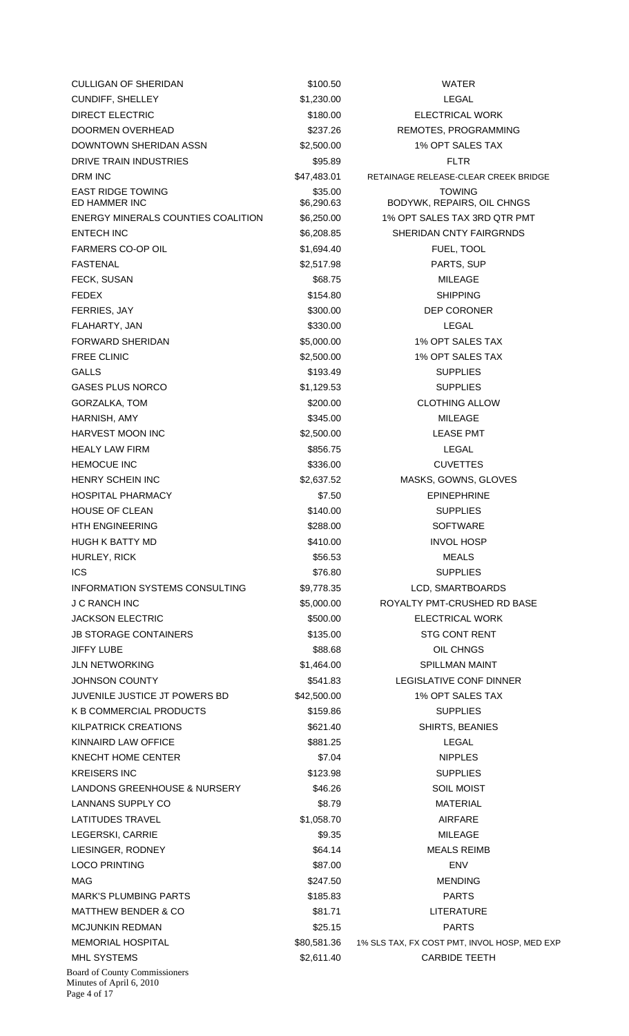| <b>CULLIGAN OF SHERIDAN</b>                                      | \$100.50              | <b>WATER</b>                                 |
|------------------------------------------------------------------|-----------------------|----------------------------------------------|
| <b>CUNDIFF, SHELLEY</b>                                          | \$1,230.00            | <b>LEGAL</b>                                 |
| <b>DIRECT ELECTRIC</b>                                           | \$180.00              | <b>ELECTRICAL WORK</b>                       |
| DOORMEN OVERHEAD                                                 | \$237.26              | REMOTES, PROGRAMMING                         |
| <b>DOWNTOWN SHERIDAN ASSN</b>                                    | \$2,500.00            | 1% OPT SALES TAX                             |
| DRIVE TRAIN INDUSTRIES                                           | \$95.89               | FLTR                                         |
| DRM INC                                                          | \$47,483.01           | RETAINAGE RELEASE-CLEAR CREEK BRIDGE         |
| <b>EAST RIDGE TOWING</b><br>ED HAMMER INC                        | \$35.00<br>\$6,290.63 | <b>TOWING</b><br>BODYWK, REPAIRS, OIL CHNGS  |
| ENERGY MINERALS COUNTIES COALITION                               | \$6,250.00            | 1% OPT SALES TAX 3RD QTR PMT                 |
| <b>ENTECH INC</b>                                                | \$6,208.85            | SHERIDAN CNTY FAIRGRNDS                      |
| FARMERS CO-OP OIL                                                | \$1,694.40            | FUEL, TOOL                                   |
| <b>FASTENAL</b>                                                  | \$2,517.98            | PARTS, SUP                                   |
| FECK, SUSAN                                                      | \$68.75               | <b>MILEAGE</b>                               |
| <b>FEDEX</b>                                                     | \$154.80              | <b>SHIPPING</b>                              |
| FERRIES, JAY                                                     | \$300.00              | <b>DEP CORONER</b>                           |
| FLAHARTY, JAN                                                    | \$330.00              | LEGAL                                        |
| <b>FORWARD SHERIDAN</b>                                          | \$5,000.00            | 1% OPT SALES TAX                             |
| <b>FREE CLINIC</b>                                               | \$2,500.00            | 1% OPT SALES TAX                             |
| <b>GALLS</b>                                                     | \$193.49              | <b>SUPPLIES</b>                              |
| <b>GASES PLUS NORCO</b>                                          | \$1,129.53            | <b>SUPPLIES</b>                              |
| GORZALKA, TOM                                                    | \$200.00              | <b>CLOTHING ALLOW</b>                        |
| HARNISH, AMY                                                     | \$345.00              | <b>MILEAGE</b>                               |
| HARVEST MOON INC                                                 | \$2,500.00            | <b>LEASE PMT</b>                             |
| <b>HEALY LAW FIRM</b>                                            | \$856.75              | LEGAL                                        |
| <b>HEMOCUE INC</b>                                               | \$336.00              | <b>CUVETTES</b>                              |
| <b>HENRY SCHEIN INC</b>                                          | \$2,637.52            | MASKS, GOWNS, GLOVES                         |
| <b>HOSPITAL PHARMACY</b>                                         | \$7.50                | <b>EPINEPHRINE</b>                           |
| <b>HOUSE OF CLEAN</b>                                            | \$140.00              | <b>SUPPLIES</b>                              |
| <b>HTH ENGINEERING</b>                                           | \$288.00              | <b>SOFTWARE</b>                              |
| HUGH K BATTY MD                                                  | \$410.00              | <b>INVOL HOSP</b>                            |
| HURLEY, RICK                                                     | \$56.53               | <b>MEALS</b>                                 |
| <b>ICS</b>                                                       | \$76.80               | <b>SUPPLIES</b>                              |
| INFORMATION SYSTEMS CONSULTING                                   | \$9,778.35            | LCD, SMARTBOARDS                             |
| J C RANCH INC                                                    | \$5,000.00            | ROYALTY PMT-CRUSHED RD BASE                  |
| <b>JACKSON ELECTRIC</b>                                          | \$500.00              | <b>ELECTRICAL WORK</b>                       |
| <b>JB STORAGE CONTAINERS</b>                                     | \$135.00              | <b>STG CONT RENT</b>                         |
| <b>JIFFY LUBE</b>                                                | \$88.68               | OIL CHNGS                                    |
| <b>JLN NETWORKING</b>                                            | \$1,464.00            | <b>SPILLMAN MAINT</b>                        |
| <b>JOHNSON COUNTY</b>                                            | \$541.83              | LEGISLATIVE CONF DINNER                      |
| JUVENILE JUSTICE JT POWERS BD                                    | \$42,500.00           | 1% OPT SALES TAX                             |
| K B COMMERCIAL PRODUCTS                                          | \$159.86              | <b>SUPPLIES</b>                              |
| <b>KILPATRICK CREATIONS</b>                                      | \$621.40              | SHIRTS, BEANIES                              |
| KINNAIRD LAW OFFICE                                              | \$881.25              | LEGAL                                        |
| KNECHT HOME CENTER                                               | \$7.04                | <b>NIPPLES</b>                               |
| <b>KREISERS INC</b>                                              | \$123.98              | <b>SUPPLIES</b>                              |
| <b>LANDONS GREENHOUSE &amp; NURSERY</b>                          | \$46.26               | <b>SOIL MOIST</b>                            |
| LANNANS SUPPLY CO                                                | \$8.79                | <b>MATERIAL</b>                              |
| <b>LATITUDES TRAVEL</b>                                          | \$1,058.70            | <b>AIRFARE</b>                               |
| LEGERSKI, CARRIE                                                 | \$9.35                | <b>MILEAGE</b>                               |
|                                                                  | \$64.14               | <b>MEALS REIMB</b>                           |
| LIESINGER, RODNEY                                                |                       |                                              |
| <b>LOCO PRINTING</b>                                             | \$87.00               | <b>ENV</b>                                   |
| MAG                                                              | \$247.50              | <b>MENDING</b>                               |
| <b>MARK'S PLUMBING PARTS</b>                                     | \$185.83              | <b>PARTS</b>                                 |
| <b>MATTHEW BENDER &amp; CO</b>                                   | \$81.71               | <b>LITERATURE</b>                            |
| <b>MCJUNKIN REDMAN</b>                                           | \$25.15               | <b>PARTS</b>                                 |
| <b>MEMORIAL HOSPITAL</b>                                         | \$80,581.36           | 1% SLS TAX, FX COST PMT, INVOL HOSP, MED EXP |
| <b>MHL SYSTEMS</b>                                               | \$2,611.40            | <b>CARBIDE TEETH</b>                         |
| <b>Board of County Commissioners</b><br>Minutes of April 6, 2010 |                       |                                              |

Page 4 of 17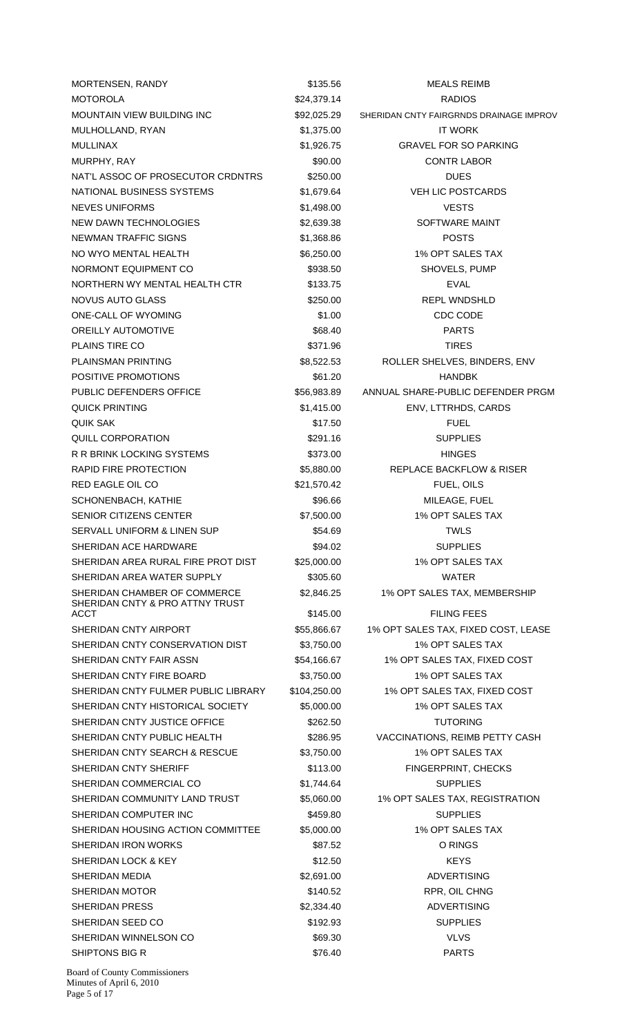| MORTENSEN, RANDY                    | \$135.56     | <b>MEALS REIMB</b>                      |
|-------------------------------------|--------------|-----------------------------------------|
| <b>MOTOROLA</b>                     | \$24,379.14  | <b>RADIOS</b>                           |
| <b>MOUNTAIN VIEW BUILDING INC</b>   | \$92,025.29  | SHERIDAN CNTY FAIRGRNDS DRAINAGE IMPROV |
| MULHOLLAND, RYAN                    | \$1,375.00   | <b>IT WORK</b>                          |
| <b>MULLINAX</b>                     | \$1,926.75   | <b>GRAVEL FOR SO PARKING</b>            |
| MURPHY, RAY                         | \$90.00      | <b>CONTR LABOR</b>                      |
| NAT'L ASSOC OF PROSECUTOR CRDNTRS   | \$250.00     | <b>DUES</b>                             |
| NATIONAL BUSINESS SYSTEMS           | \$1,679.64   | <b>VEH LIC POSTCARDS</b>                |
| <b>NEVES UNIFORMS</b>               | \$1,498.00   | <b>VESTS</b>                            |
| <b>NEW DAWN TECHNOLOGIES</b>        | \$2,639.38   | SOFTWARE MAINT                          |
| <b>NEWMAN TRAFFIC SIGNS</b>         | \$1,368.86   | <b>POSTS</b>                            |
| NO WYO MENTAL HEALTH                | \$6,250.00   | 1% OPT SALES TAX                        |
| NORMONT EQUIPMENT CO                | \$938.50     | SHOVELS, PUMP                           |
| NORTHERN WY MENTAL HEALTH CTR       | \$133.75     | <b>EVAL</b>                             |
| <b>NOVUS AUTO GLASS</b>             | \$250.00     | <b>REPL WNDSHLD</b>                     |
| ONE-CALL OF WYOMING                 | \$1.00       | CDC CODE                                |
| <b>OREILLY AUTOMOTIVE</b>           | \$68.40      | <b>PARTS</b>                            |
| PLAINS TIRE CO                      | \$371.96     | <b>TIRES</b>                            |
| <b>PLAINSMAN PRINTING</b>           | \$8,522.53   | ROLLER SHELVES, BINDERS, ENV            |
| POSITIVE PROMOTIONS                 | \$61.20      | <b>HANDBK</b>                           |
| PUBLIC DEFENDERS OFFICE             | \$56,983.89  | ANNUAL SHARE-PUBLIC DEFENDER PRGM       |
| <b>QUICK PRINTING</b>               | \$1,415.00   | ENV, LTTRHDS, CARDS                     |
| <b>QUIK SAK</b>                     | \$17.50      | <b>FUEL</b>                             |
| QUILL CORPORATION                   | \$291.16     | <b>SUPPLIES</b>                         |
| R R BRINK LOCKING SYSTEMS           | \$373.00     | <b>HINGES</b>                           |
| RAPID FIRE PROTECTION               | \$5,880.00   | REPLACE BACKFLOW & RISER                |
| RED EAGLE OIL CO                    | \$21,570.42  | FUEL, OILS                              |
| SCHONENBACH, KATHIE                 | \$96.66      | MILEAGE, FUEL                           |
| <b>SENIOR CITIZENS CENTER</b>       | \$7,500.00   | 1% OPT SALES TAX                        |
| SERVALL UNIFORM & LINEN SUP         | \$54.69      | <b>TWLS</b>                             |
| SHERIDAN ACE HARDWARE               | \$94.02      | <b>SUPPLIES</b>                         |
| SHERIDAN AREA RURAL FIRE PROT DIST  | \$25,000.00  | 1% OPT SALES TAX                        |
| SHERIDAN AREA WATER SUPPLY          | \$305.60     | <b>WATER</b>                            |
| SHERIDAN CHAMBER OF COMMERCE        | \$2,846.25   | 1% OPT SALES TAX, MEMBERSHIP            |
| SHERIDAN CNTY & PRO ATTNY TRUST     |              |                                         |
| <b>ACCT</b>                         | \$145.00     | <b>FILING FEES</b>                      |
| SHERIDAN CNTY AIRPORT               | \$55,866.67  | 1% OPT SALES TAX, FIXED COST, LEASE     |
| SHERIDAN CNTY CONSERVATION DIST     | \$3,750.00   | 1% OPT SALES TAX                        |
| SHERIDAN CNTY FAIR ASSN             | \$54,166.67  | 1% OPT SALES TAX, FIXED COST            |
| SHERIDAN CNTY FIRE BOARD            | \$3,750.00   | 1% OPT SALES TAX                        |
| SHERIDAN CNTY FULMER PUBLIC LIBRARY | \$104,250.00 | 1% OPT SALES TAX, FIXED COST            |
| SHERIDAN CNTY HISTORICAL SOCIETY    | \$5,000.00   | 1% OPT SALES TAX                        |
| SHERIDAN CNTY JUSTICE OFFICE        | \$262.50     | <b>TUTORING</b>                         |
| SHERIDAN CNTY PUBLIC HEALTH         | \$286.95     | VACCINATIONS, REIMB PETTY CASH          |
| SHERIDAN CNTY SEARCH & RESCUE       | \$3,750.00   | 1% OPT SALES TAX                        |
| SHERIDAN CNTY SHERIFF               | \$113.00     | FINGERPRINT, CHECKS                     |
| SHERIDAN COMMERCIAL CO              | \$1,744.64   | <b>SUPPLIES</b>                         |
| SHERIDAN COMMUNITY LAND TRUST       | \$5,060.00   | 1% OPT SALES TAX, REGISTRATION          |
| SHERIDAN COMPUTER INC               | \$459.80     | <b>SUPPLIES</b>                         |
| SHERIDAN HOUSING ACTION COMMITTEE   | \$5,000.00   | 1% OPT SALES TAX                        |
| <b>SHERIDAN IRON WORKS</b>          | \$87.52      | O RINGS                                 |
| SHERIDAN LOCK & KEY                 | \$12.50      | <b>KEYS</b>                             |
| SHERIDAN MEDIA                      | \$2,691.00   | <b>ADVERTISING</b>                      |
| <b>SHERIDAN MOTOR</b>               | \$140.52     | RPR, OIL CHNG                           |
| <b>SHERIDAN PRESS</b>               | \$2,334.40   | <b>ADVERTISING</b>                      |
| SHERIDAN SEED CO                    | \$192.93     | <b>SUPPLIES</b>                         |
| SHERIDAN WINNELSON CO               | \$69.30      | <b>VLVS</b>                             |
| SHIPTONS BIG R                      | \$76.40      | <b>PARTS</b>                            |

Board of County Commissioners Minutes of April 6, 2010 Page 5 of 17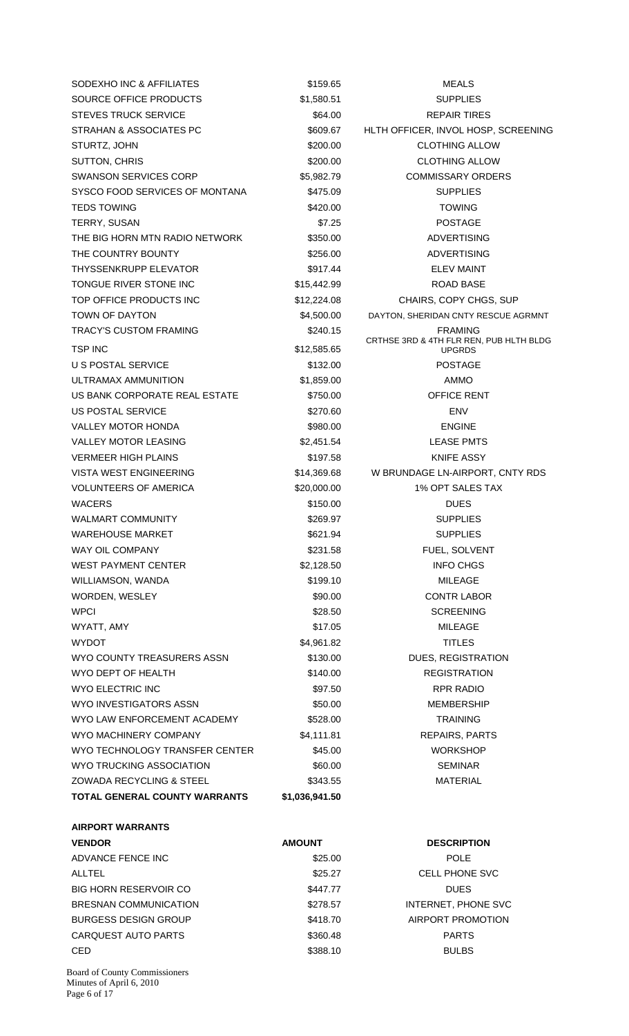SODEXHO INC & AFFILIATES \$159.65 MEALS SOURCE OFFICE PRODUCTS  $$1,580.51$  SUPPLIES STEVES TRUCK SERVICE **\$64.00** S64.00 REPAIR TIRES STRAHAN & ASSOCIATES PC  $$609.67$  HLTH OFFICER, INVOL HOSP, SCREENING STURTZ, JOHN 6 CLOTHING ALLOW \$200.00 CLOTHING ALLOW SUTTON, CHRIS \$200.00 CLOTHING ALLOW SWANSON SERVICES CORP \$5,982.79 COMMISSARY ORDERS SYSCO FOOD SERVICES OF MONTANA  $$475.09$  SUPPLIES TEDS TOWING **\$420.00** \$420.00 TOWING TERRY SUSAN \$7.25 POSTAGE THE BIG HORN MTN RADIO NETWORK \$350.00 ADVERTISING THE COUNTRY BOUNTY **12000 \$256.00 ADVERTISING** THYSSENKRUPP ELEVATOR THE SELEVING SALE AND STATE STATES STATES AND THE SELEVING MAINT TONGUE RIVER STONE INC<br>
\$15,442.99 ROAD BASE TOP OFFICE PRODUCTS INC \$12,224.08 CHAIRS, COPY CHGS, SUP TOWN OF DAYTON **120000 EXALL** \$4,500.00 DAYTON, SHERIDAN CNTY RESCUE AGRMNT TRACY'S CUSTOM FRAMING **\$240.15** \$240.15 FRAMING TSP INC \$12,585.65 US POSTAL SERVICE THE STRIDGE STRIDGE STRIDGE STRIDGE STRIDGE STRIDGE STRIDGE STRIDGE STRIDGE STRIDGE STRIDGE ULTRAMAX AMMUNITION \$1,859.00 AMMO US BANK CORPORATE REAL ESTATE \$750.00 OFFICE RENT US POSTAL SERVICE **A CONSTANT SERVICE** A CONSTANT SERVICE A SERVICE A LOST SERVICE A LOST SERVICE A LOST SERVICE VALLEY MOTOR HONDA **8980.00** \$980.00 ENGINE VALLEY MOTOR LEASING **\$2,451.54** S2,451.54 VERMEER HIGH PLAINS **197.58** S197.58 KNIFE ASSY VISTA WEST ENGINEERING \$14,369.68 W BRUNDAGE LN-AIRPORT, CNTY RDS VOLUNTEERS OF AMERICA  $$20.000.00$   $$1\%$  OPT SALES TAX WACERS \$150.00 DUES WALMART COMMUNITY S269.97 SUPPLIES WAREHOUSE MARKET **1200 CM SECULARY 1999** SUPPLIES WAY OIL COMPANY **1992 12:33 THE SOLVENT SEE ALSO ASSESS** THE SOLVENT WEST PAYMENT CENTER  $$2,128.50$  INFO CHGS WILLIAMSON, WANDA **199.10** 5199.10 MILEAGE WORDEN, WESLEY \$90.00 CONTR LABOR WPCI 80 NOVEMBER 100 NOVEMBER 100 NOVEMBER 100 NOVEMBER 100 NOVEMBER 100 NOVEMBER 100 NOVEMBER 100 NOVEMBER 10 WYATT, AMY \$17.05 MILEAGE  $WY$ DOT  $$4,961.82$  TITLES WYO COUNTY TREASURERS ASSN \$130.00 DUES, REGISTRATION WYO DEPT OF HEALTH \$140.00 REGISTRATION WYO ELECTRIC INC **ELECTRIC INCLUST AND A REPORT OF A S**97.50 RPR RADIO WYO INVESTIGATORS ASSN  $$50.00$  MEMBERSHIP WYO LAW ENFORCEMENT ACADEMY 5528.00 TRAINING WYO MACHINERY COMPANY **\$4,111.81** S4,111.81 REPAIRS, PARTS WYO TECHNOLOGY TRANSFER CENTER \$45.00 WORKSHOP WYO TRUCKING ASSOCIATION  $$60.00$  SEMINAR ZOWADA RECYCLING & STEEL \$343.55 MATERIAL **TOTAL GENERAL COUNTY WARRANTS \$1,036,941.50 AIRPORT WARRANTS** 

CRTHSE 3RD & 4TH FLR REN, PUB HLTH BLDG UPGRDS

| <b>VENDOR</b>                 | <b>AMOUNT</b> | <b>DESCRIPTION</b>    |
|-------------------------------|---------------|-----------------------|
| ADVANCE FENCE INC             | \$25.00       | <b>POLE</b>           |
| ALLTEL                        | \$25.27       | <b>CELL PHONE SVC</b> |
| <b>BIG HORN RESERVOIR CO.</b> | \$447.77      | <b>DUES</b>           |
| BRESNAN COMMUNICATION         | \$278.57      | INTERNET, PHONE SVC   |
| <b>BURGESS DESIGN GROUP</b>   | \$418.70      | AIRPORT PROMOTION     |
| CARQUEST AUTO PARTS           | \$360.48      | <b>PARTS</b>          |
| <b>CED</b>                    | \$388.10      | <b>BULBS</b>          |
|                               |               |                       |

Board of County Commissioners Minutes of April 6, 2010 Page 6 of 17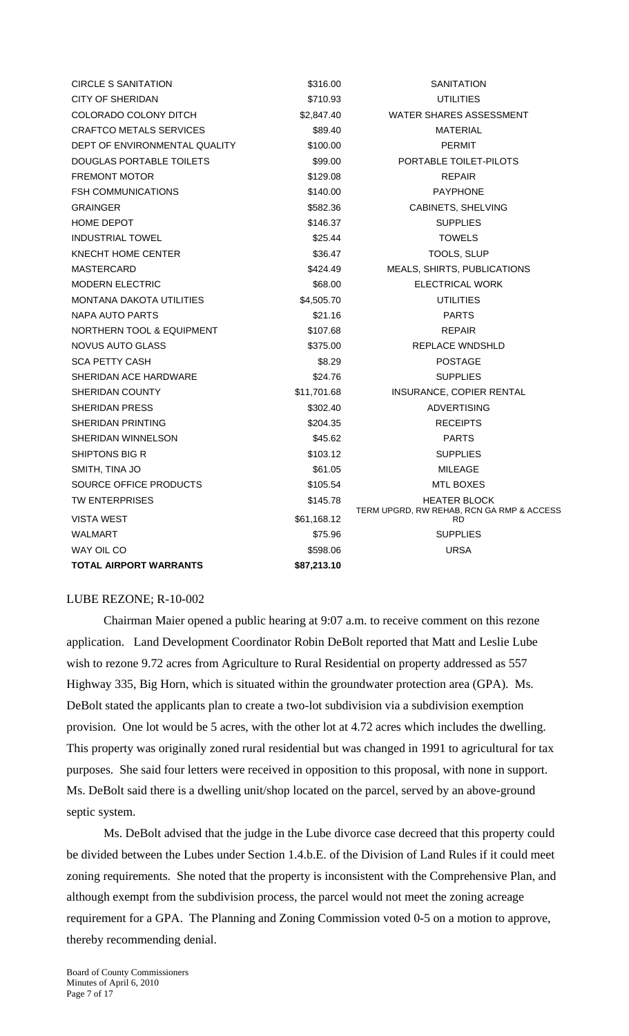| <b>CIRCLE S SANITATION</b>           | \$316.00    | SANITATION                                             |
|--------------------------------------|-------------|--------------------------------------------------------|
| CITY OF SHERIDAN                     | \$710.93    | UTILITIES                                              |
| COLORADO COLONY DITCH                | \$2,847.40  | <b>WATER SHARES ASSESSMENT</b>                         |
| <b>CRAFTCO METALS SERVICES</b>       | \$89.40     | MATERIAL                                               |
| DEPT OF ENVIRONMENTAL QUALITY        | \$100.00    | <b>PERMIT</b>                                          |
| DOUGLAS PORTABLE TOILETS             | \$99.00     | PORTABLE TOILET-PILOTS                                 |
| <b>FREMONT MOTOR</b>                 | \$129.08    | <b>REPAIR</b>                                          |
| <b>FSH COMMUNICATIONS</b>            | \$140.00    | <b>PAYPHONE</b>                                        |
| <b>GRAINGER</b>                      | \$582.36    | CABINETS, SHELVING                                     |
| <b>HOME DEPOT</b>                    | \$146.37    | <b>SUPPLIES</b>                                        |
| <b>INDUSTRIAL TOWEL</b>              | \$25.44     | <b>TOWELS</b>                                          |
| KNECHT HOME CENTER                   | \$36.47     | TOOLS, SLUP                                            |
| MASTERCARD                           | \$424.49    | MEALS, SHIRTS, PUBLICATIONS                            |
| <b>MODERN ELECTRIC</b>               | \$68.00     | ELECTRICAL WORK                                        |
| MONTANA DAKOTA UTILITIES             | \$4,505.70  | UTILITIES                                              |
| <b>NAPA AUTO PARTS</b>               | \$21.16     | <b>PARTS</b>                                           |
| <b>NORTHERN TOOL &amp; EQUIPMENT</b> | \$107.68    | <b>REPAIR</b>                                          |
| NOVUS AUTO GLASS                     | \$375.00    | REPLACE WNDSHLD                                        |
| <b>SCA PETTY CASH</b>                | \$8.29      | <b>POSTAGE</b>                                         |
| SHERIDAN ACE HARDWARE                | \$24.76     | <b>SUPPLIES</b>                                        |
| SHERIDAN COUNTY                      | \$11,701.68 | INSURANCE, COPIER RENTAL                               |
| SHERIDAN PRESS                       | \$302.40    | <b>ADVERTISING</b>                                     |
| <b>SHERIDAN PRINTING</b>             | \$204.35    | <b>RECEIPTS</b>                                        |
| SHERIDAN WINNELSON                   | \$45.62     | <b>PARTS</b>                                           |
| SHIPTONS BIG R                       | \$103.12    | <b>SUPPLIES</b>                                        |
| SMITH, TINA JO                       | \$61.05     | MILEAGE                                                |
| SOURCE OFFICE PRODUCTS               | \$105.54    | MTL BOXES                                              |
| <b>TW ENTERPRISES</b>                | \$145.78    | <b>HEATER BLOCK</b>                                    |
| VISTA WEST                           | \$61,168.12 | TERM UPGRD, RW REHAB, RCN GA RMP & ACCESS<br><b>RD</b> |
| WALMART                              | \$75.96     | <b>SUPPLIES</b>                                        |
| WAY OIL CO                           | \$598.06    | <b>URSA</b>                                            |
| TOTAL AIRPORT WARRANTS               | \$87,213.10 |                                                        |

### LUBE REZONE; R-10-002

 Chairman Maier opened a public hearing at 9:07 a.m. to receive comment on this rezone application. Land Development Coordinator Robin DeBolt reported that Matt and Leslie Lube wish to rezone 9.72 acres from Agriculture to Rural Residential on property addressed as 557 Highway 335, Big Horn, which is situated within the groundwater protection area (GPA). Ms. DeBolt stated the applicants plan to create a two-lot subdivision via a subdivision exemption provision. One lot would be 5 acres, with the other lot at 4.72 acres which includes the dwelling. This property was originally zoned rural residential but was changed in 1991 to agricultural for tax purposes. She said four letters were received in opposition to this proposal, with none in support. Ms. DeBolt said there is a dwelling unit/shop located on the parcel, served by an above-ground septic system.

Ms. DeBolt advised that the judge in the Lube divorce case decreed that this property could be divided between the Lubes under Section 1.4.b.E. of the Division of Land Rules if it could meet zoning requirements. She noted that the property is inconsistent with the Comprehensive Plan, and although exempt from the subdivision process, the parcel would not meet the zoning acreage requirement for a GPA. The Planning and Zoning Commission voted 0-5 on a motion to approve, thereby recommending denial.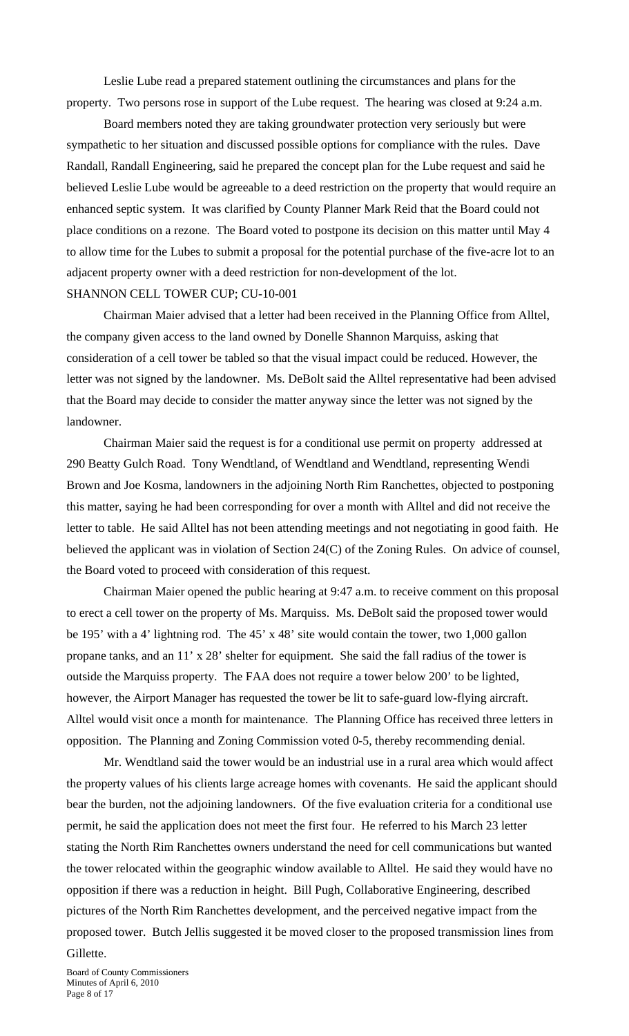Leslie Lube read a prepared statement outlining the circumstances and plans for the property. Two persons rose in support of the Lube request. The hearing was closed at 9:24 a.m.

Board members noted they are taking groundwater protection very seriously but were sympathetic to her situation and discussed possible options for compliance with the rules. Dave Randall, Randall Engineering, said he prepared the concept plan for the Lube request and said he believed Leslie Lube would be agreeable to a deed restriction on the property that would require an enhanced septic system. It was clarified by County Planner Mark Reid that the Board could not place conditions on a rezone. The Board voted to postpone its decision on this matter until May 4 to allow time for the Lubes to submit a proposal for the potential purchase of the five-acre lot to an adjacent property owner with a deed restriction for non-development of the lot. SHANNON CELL TOWER CUP; CU-10-001

 Chairman Maier advised that a letter had been received in the Planning Office from Alltel, the company given access to the land owned by Donelle Shannon Marquiss, asking that consideration of a cell tower be tabled so that the visual impact could be reduced. However, the letter was not signed by the landowner. Ms. DeBolt said the Alltel representative had been advised that the Board may decide to consider the matter anyway since the letter was not signed by the landowner.

Chairman Maier said the request is for a conditional use permit on property addressed at 290 Beatty Gulch Road. Tony Wendtland, of Wendtland and Wendtland, representing Wendi Brown and Joe Kosma, landowners in the adjoining North Rim Ranchettes, objected to postponing this matter, saying he had been corresponding for over a month with Alltel and did not receive the letter to table. He said Alltel has not been attending meetings and not negotiating in good faith. He believed the applicant was in violation of Section 24(C) of the Zoning Rules. On advice of counsel, the Board voted to proceed with consideration of this request.

Chairman Maier opened the public hearing at 9:47 a.m. to receive comment on this proposal to erect a cell tower on the property of Ms. Marquiss. Ms. DeBolt said the proposed tower would be 195' with a 4' lightning rod. The 45' x 48' site would contain the tower, two 1,000 gallon propane tanks, and an 11' x 28' shelter for equipment. She said the fall radius of the tower is outside the Marquiss property. The FAA does not require a tower below 200' to be lighted, however, the Airport Manager has requested the tower be lit to safe-guard low-flying aircraft. Alltel would visit once a month for maintenance. The Planning Office has received three letters in opposition. The Planning and Zoning Commission voted 0-5, thereby recommending denial.

 Mr. Wendtland said the tower would be an industrial use in a rural area which would affect the property values of his clients large acreage homes with covenants. He said the applicant should bear the burden, not the adjoining landowners. Of the five evaluation criteria for a conditional use permit, he said the application does not meet the first four. He referred to his March 23 letter stating the North Rim Ranchettes owners understand the need for cell communications but wanted the tower relocated within the geographic window available to Alltel. He said they would have no opposition if there was a reduction in height. Bill Pugh, Collaborative Engineering, described pictures of the North Rim Ranchettes development, and the perceived negative impact from the proposed tower. Butch Jellis suggested it be moved closer to the proposed transmission lines from

# Gillette.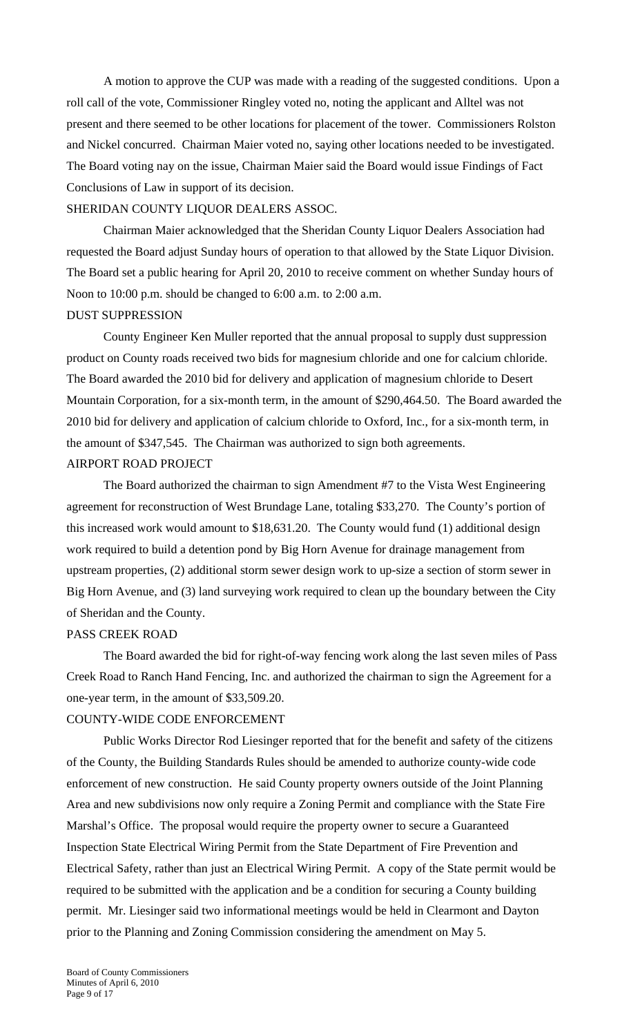A motion to approve the CUP was made with a reading of the suggested conditions. Upon a roll call of the vote, Commissioner Ringley voted no, noting the applicant and Alltel was not present and there seemed to be other locations for placement of the tower. Commissioners Rolston and Nickel concurred. Chairman Maier voted no, saying other locations needed to be investigated. The Board voting nay on the issue, Chairman Maier said the Board would issue Findings of Fact Conclusions of Law in support of its decision.

### SHERIDAN COUNTY LIQUOR DEALERS ASSOC.

 Chairman Maier acknowledged that the Sheridan County Liquor Dealers Association had requested the Board adjust Sunday hours of operation to that allowed by the State Liquor Division. The Board set a public hearing for April 20, 2010 to receive comment on whether Sunday hours of Noon to 10:00 p.m. should be changed to 6:00 a.m. to 2:00 a.m. DUST SUPPRESSION

 County Engineer Ken Muller reported that the annual proposal to supply dust suppression product on County roads received two bids for magnesium chloride and one for calcium chloride. The Board awarded the 2010 bid for delivery and application of magnesium chloride to Desert Mountain Corporation, for a six-month term, in the amount of \$290,464.50. The Board awarded the 2010 bid for delivery and application of calcium chloride to Oxford, Inc., for a six-month term, in the amount of \$347,545. The Chairman was authorized to sign both agreements. AIRPORT ROAD PROJECT

 The Board authorized the chairman to sign Amendment #7 to the Vista West Engineering agreement for reconstruction of West Brundage Lane, totaling \$33,270. The County's portion of this increased work would amount to \$18,631.20. The County would fund (1) additional design work required to build a detention pond by Big Horn Avenue for drainage management from upstream properties, (2) additional storm sewer design work to up-size a section of storm sewer in Big Horn Avenue, and (3) land surveying work required to clean up the boundary between the City of Sheridan and the County.

#### PASS CREEK ROAD

The Board awarded the bid for right-of-way fencing work along the last seven miles of Pass Creek Road to Ranch Hand Fencing, Inc. and authorized the chairman to sign the Agreement for a one-year term, in the amount of \$33,509.20.

## COUNTY-WIDE CODE ENFORCEMENT

 Public Works Director Rod Liesinger reported that for the benefit and safety of the citizens of the County, the Building Standards Rules should be amended to authorize county-wide code enforcement of new construction. He said County property owners outside of the Joint Planning Area and new subdivisions now only require a Zoning Permit and compliance with the State Fire Marshal's Office. The proposal would require the property owner to secure a Guaranteed Inspection State Electrical Wiring Permit from the State Department of Fire Prevention and Electrical Safety, rather than just an Electrical Wiring Permit. A copy of the State permit would be required to be submitted with the application and be a condition for securing a County building permit. Mr. Liesinger said two informational meetings would be held in Clearmont and Dayton prior to the Planning and Zoning Commission considering the amendment on May 5.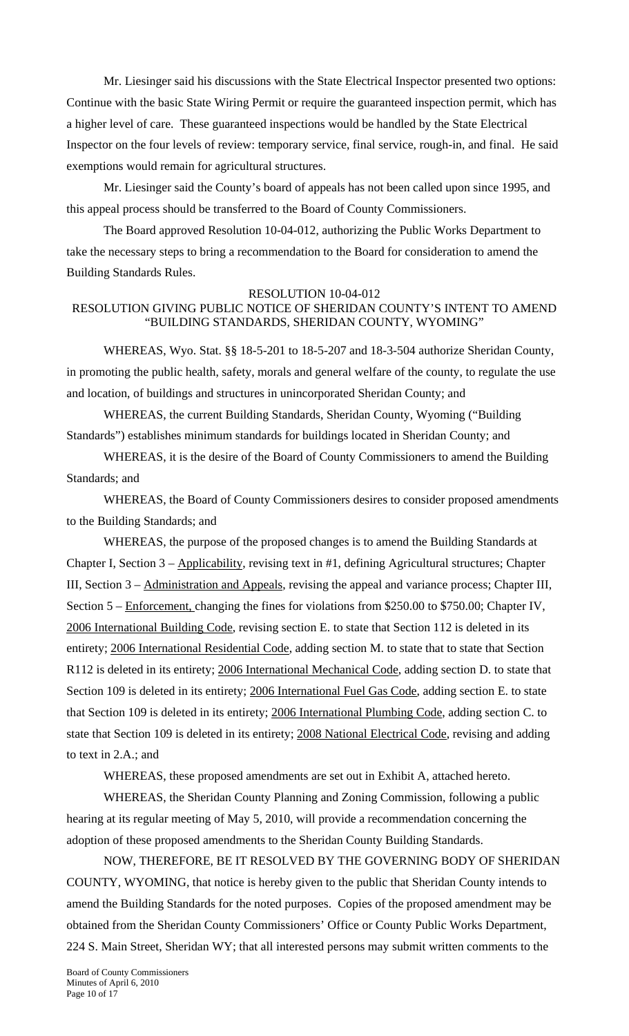Mr. Liesinger said his discussions with the State Electrical Inspector presented two options: Continue with the basic State Wiring Permit or require the guaranteed inspection permit, which has a higher level of care. These guaranteed inspections would be handled by the State Electrical Inspector on the four levels of review: temporary service, final service, rough-in, and final. He said exemptions would remain for agricultural structures.

 Mr. Liesinger said the County's board of appeals has not been called upon since 1995, and this appeal process should be transferred to the Board of County Commissioners.

 The Board approved Resolution 10-04-012, authorizing the Public Works Department to take the necessary steps to bring a recommendation to the Board for consideration to amend the Building Standards Rules.

#### RESOLUTION 10-04-012

## RESOLUTION GIVING PUBLIC NOTICE OF SHERIDAN COUNTY'S INTENT TO AMEND "BUILDING STANDARDS, SHERIDAN COUNTY, WYOMING"

 WHEREAS, Wyo. Stat. §§ 18-5-201 to 18-5-207 and 18-3-504 authorize Sheridan County, in promoting the public health, safety, morals and general welfare of the county, to regulate the use and location, of buildings and structures in unincorporated Sheridan County; and

 WHEREAS, the current Building Standards, Sheridan County, Wyoming ("Building Standards") establishes minimum standards for buildings located in Sheridan County; and

WHEREAS, it is the desire of the Board of County Commissioners to amend the Building Standards; and

 WHEREAS, the Board of County Commissioners desires to consider proposed amendments to the Building Standards; and

 WHEREAS, the purpose of the proposed changes is to amend the Building Standards at Chapter I, Section 3 – Applicability, revising text in #1, defining Agricultural structures; Chapter III, Section 3 – Administration and Appeals, revising the appeal and variance process; Chapter III, Section 5 – Enforcement, changing the fines for violations from \$250.00 to \$750.00; Chapter IV, 2006 International Building Code, revising section E. to state that Section 112 is deleted in its entirety; 2006 International Residential Code, adding section M. to state that to state that Section R112 is deleted in its entirety; 2006 International Mechanical Code, adding section D. to state that Section 109 is deleted in its entirety; 2006 International Fuel Gas Code, adding section E. to state that Section 109 is deleted in its entirety; 2006 International Plumbing Code, adding section C. to state that Section 109 is deleted in its entirety; 2008 National Electrical Code, revising and adding to text in 2.A.; and

WHEREAS, these proposed amendments are set out in Exhibit A, attached hereto.

WHEREAS, the Sheridan County Planning and Zoning Commission, following a public hearing at its regular meeting of May 5, 2010, will provide a recommendation concerning the adoption of these proposed amendments to the Sheridan County Building Standards.

NOW, THEREFORE, BE IT RESOLVED BY THE GOVERNING BODY OF SHERIDAN COUNTY, WYOMING, that notice is hereby given to the public that Sheridan County intends to amend the Building Standards for the noted purposes. Copies of the proposed amendment may be obtained from the Sheridan County Commissioners' Office or County Public Works Department, 224 S. Main Street, Sheridan WY; that all interested persons may submit written comments to the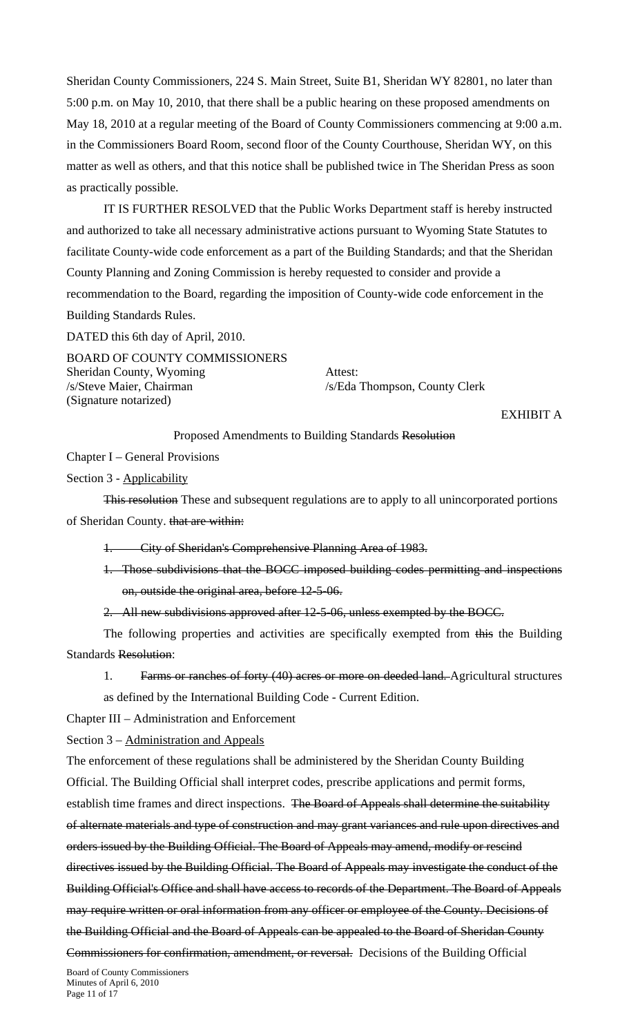Sheridan County Commissioners, 224 S. Main Street, Suite B1, Sheridan WY 82801, no later than 5:00 p.m. on May 10, 2010, that there shall be a public hearing on these proposed amendments on May 18, 2010 at a regular meeting of the Board of County Commissioners commencing at 9:00 a.m. in the Commissioners Board Room, second floor of the County Courthouse, Sheridan WY, on this matter as well as others, and that this notice shall be published twice in The Sheridan Press as soon as practically possible.

IT IS FURTHER RESOLVED that the Public Works Department staff is hereby instructed and authorized to take all necessary administrative actions pursuant to Wyoming State Statutes to facilitate County-wide code enforcement as a part of the Building Standards; and that the Sheridan County Planning and Zoning Commission is hereby requested to consider and provide a recommendation to the Board, regarding the imposition of County-wide code enforcement in the Building Standards Rules.

DATED this 6th day of April, 2010.

BOARD OF COUNTY COMMISSIONERS Sheridan County, Wyoming Attest: /s/Steve Maier, Chairman /s/Eda Thompson, County Clerk (Signature notarized)

EXHIBIT A

Proposed Amendments to Building Standards Resolution

Chapter I – General Provisions

Section 3 - Applicability

This resolution These and subsequent regulations are to apply to all unincorporated portions of Sheridan County. that are within:

1. City of Sheridan's Comprehensive Planning Area of 1983.

1. Those subdivisions that the BOCC imposed building codes permitting and inspections on, outside the original area, before 12-5-06.

2. All new subdivisions approved after 12-5-06, unless exempted by the BOCC.

The following properties and activities are specifically exempted from this the Building Standards Resolution:

1. Farms or ranches of forty (40) acres or more on deeded land. Agricultural structures

as defined by the International Building Code - Current Edition.

Chapter III – Administration and Enforcement

Section 3 – Administration and Appeals

The enforcement of these regulations shall be administered by the Sheridan County Building Official. The Building Official shall interpret codes, prescribe applications and permit forms, establish time frames and direct inspections. The Board of Appeals shall determine the suitability of alternate materials and type of construction and may grant variances and rule upon directives and orders issued by the Building Official. The Board of Appeals may amend, modify or rescind directives issued by the Building Official. The Board of Appeals may investigate the conduct of the Building Official's Office and shall have access to records of the Department. The Board of Appeals may require written or oral information from any officer or employee of the County. Decisions of the Building Official and the Board of Appeals can be appealed to the Board of Sheridan County Commissioners for confirmation, amendment, or reversal. Decisions of the Building Official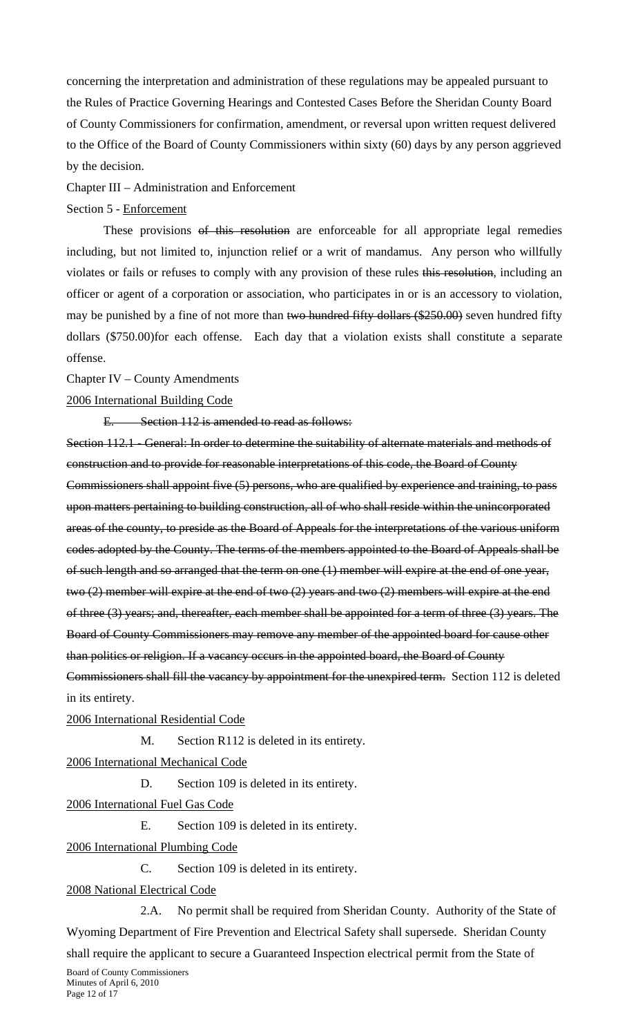concerning the interpretation and administration of these regulations may be appealed pursuant to the Rules of Practice Governing Hearings and Contested Cases Before the Sheridan County Board of County Commissioners for confirmation, amendment, or reversal upon written request delivered to the Office of the Board of County Commissioners within sixty (60) days by any person aggrieved by the decision.

Chapter III – Administration and Enforcement

#### Section 5 - Enforcement

These provisions of this resolution are enforceable for all appropriate legal remedies including, but not limited to, injunction relief or a writ of mandamus. Any person who willfully violates or fails or refuses to comply with any provision of these rules this resolution, including an officer or agent of a corporation or association, who participates in or is an accessory to violation, may be punished by a fine of not more than two hundred fifty dollars (\$250.00) seven hundred fifty dollars (\$750.00)for each offense. Each day that a violation exists shall constitute a separate offense.

### Chapter IV – County Amendments

### 2006 International Building Code

E. Section 112 is amended to read as follows:

Section 112.1 - General: In order to determine the suitability of alternate materials and methods of construction and to provide for reasonable interpretations of this code, the Board of County Commissioners shall appoint five (5) persons, who are qualified by experience and training, to pass upon matters pertaining to building construction, all of who shall reside within the unincorporated areas of the county, to preside as the Board of Appeals for the interpretations of the various uniform codes adopted by the County. The terms of the members appointed to the Board of Appeals shall be of such length and so arranged that the term on one (1) member will expire at the end of one year, two (2) member will expire at the end of two (2) years and two (2) members will expire at the end of three (3) years; and, thereafter, each member shall be appointed for a term of three (3) years. The Board of County Commissioners may remove any member of the appointed board for cause other than politics or religion. If a vacancy occurs in the appointed board, the Board of County Commissioners shall fill the vacancy by appointment for the unexpired term. Section 112 is deleted in its entirety.

#### 2006 International Residential Code

M. Section R112 is deleted in its entirety.

2006 International Mechanical Code

D. Section 109 is deleted in its entirety.

2006 International Fuel Gas Code

E. Section 109 is deleted in its entirety.

2006 International Plumbing Code

C. Section 109 is deleted in its entirety.

## 2008 National Electrical Code

 2.A. No permit shall be required from Sheridan County. Authority of the State of Wyoming Department of Fire Prevention and Electrical Safety shall supersede. Sheridan County shall require the applicant to secure a Guaranteed Inspection electrical permit from the State of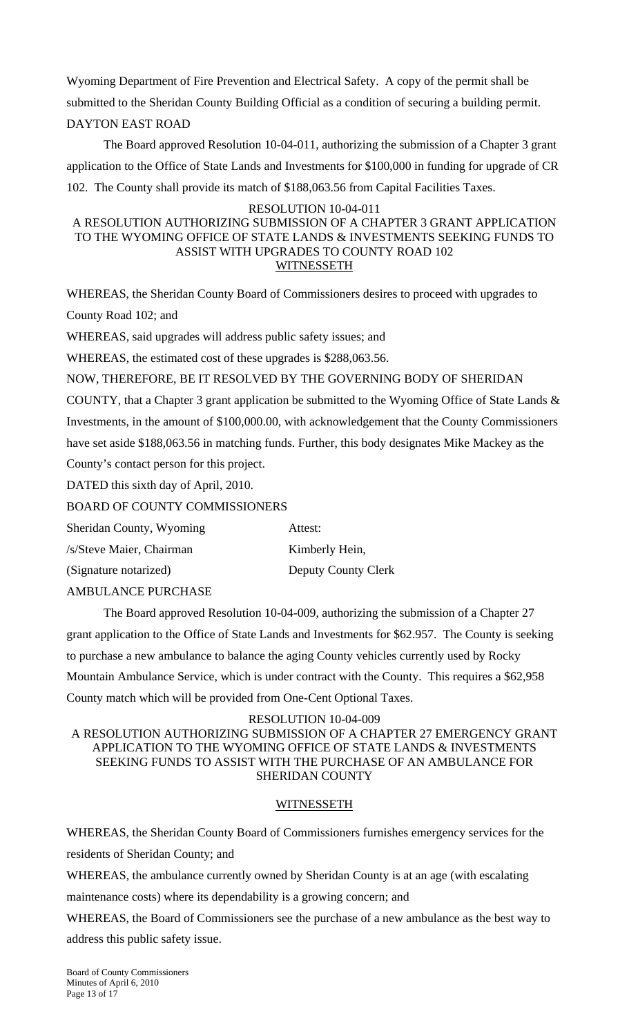Wyoming Department of Fire Prevention and Electrical Safety. A copy of the permit shall be submitted to the Sheridan County Building Official as a condition of securing a building permit. DAYTON EAST ROAD

 The Board approved Resolution 10-04-011, authorizing the submission of a Chapter 3 grant application to the Office of State Lands and Investments for \$100,000 in funding for upgrade of CR 102. The County shall provide its match of \$188,063.56 from Capital Facilities Taxes.

#### RESOLUTION 10-04-011

### A RESOLUTION AUTHORIZING SUBMISSION OF A CHAPTER 3 GRANT APPLICATION TO THE WYOMING OFFICE OF STATE LANDS & INVESTMENTS SEEKING FUNDS TO ASSIST WITH UPGRADES TO COUNTY ROAD 102 WITNESSETH

WHEREAS, the Sheridan County Board of Commissioners desires to proceed with upgrades to County Road 102; and

WHEREAS, said upgrades will address public safety issues; and

WHEREAS, the estimated cost of these upgrades is \$288,063.56.

NOW, THEREFORE, BE IT RESOLVED BY THE GOVERNING BODY OF SHERIDAN

COUNTY, that a Chapter 3 grant application be submitted to the Wyoming Office of State Lands & Investments, in the amount of \$100,000.00, with acknowledgement that the County Commissioners have set aside \$188,063.56 in matching funds. Further, this body designates Mike Mackey as the County's contact person for this project.

DATED this sixth day of April, 2010.

BOARD OF COUNTY COMMISSIONERS

| Sheridan County, Wyoming | Attest:             |
|--------------------------|---------------------|
| /s/Steve Maier, Chairman | Kimberly Hein,      |
| (Signature notarized)    | Deputy County Clerk |

AMBULANCE PURCHASE

 The Board approved Resolution 10-04-009, authorizing the submission of a Chapter 27 grant application to the Office of State Lands and Investments for \$62.957. The County is seeking to purchase a new ambulance to balance the aging County vehicles currently used by Rocky Mountain Ambulance Service, which is under contract with the County. This requires a \$62,958 County match which will be provided from One-Cent Optional Taxes.

RESOLUTION 10-04-009

A RESOLUTION AUTHORIZING SUBMISSION OF A CHAPTER 27 EMERGENCY GRANT APPLICATION TO THE WYOMING OFFICE OF STATE LANDS & INVESTMENTS SEEKING FUNDS TO ASSIST WITH THE PURCHASE OF AN AMBULANCE FOR SHERIDAN COUNTY

### **WITNESSETH**

WHEREAS, the Sheridan County Board of Commissioners furnishes emergency services for the residents of Sheridan County; and

WHEREAS, the ambulance currently owned by Sheridan County is at an age (with escalating

maintenance costs) where its dependability is a growing concern; and

WHEREAS, the Board of Commissioners see the purchase of a new ambulance as the best way to address this public safety issue.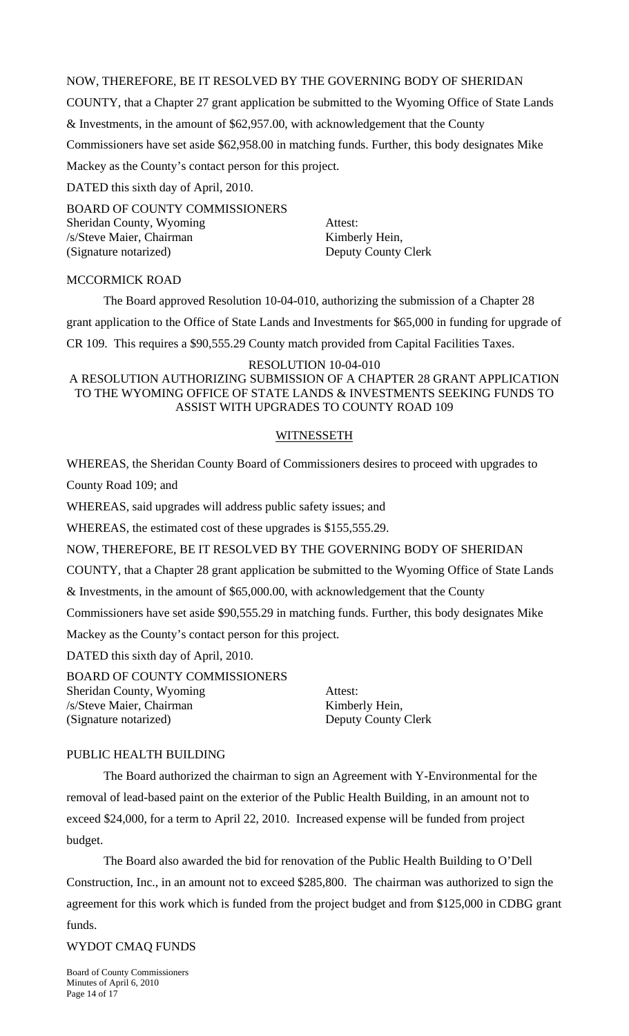NOW, THEREFORE, BE IT RESOLVED BY THE GOVERNING BODY OF SHERIDAN

COUNTY, that a Chapter 27 grant application be submitted to the Wyoming Office of State Lands

& Investments, in the amount of \$62,957.00, with acknowledgement that the County

Commissioners have set aside \$62,958.00 in matching funds. Further, this body designates Mike

Mackey as the County's contact person for this project.

DATED this sixth day of April, 2010.

BOARD OF COUNTY COMMISSIONERS Sheridan County, Wyoming Attest: /s/Steve Maier, Chairman Kimberly Hein, (Signature notarized) Deputy County Clerk

### MCCORMICK ROAD

The Board approved Resolution 10-04-010, authorizing the submission of a Chapter 28

grant application to the Office of State Lands and Investments for \$65,000 in funding for upgrade of

CR 109. This requires a \$90,555.29 County match provided from Capital Facilities Taxes.

#### RESOLUTION 10-04-010

A RESOLUTION AUTHORIZING SUBMISSION OF A CHAPTER 28 GRANT APPLICATION TO THE WYOMING OFFICE OF STATE LANDS & INVESTMENTS SEEKING FUNDS TO ASSIST WITH UPGRADES TO COUNTY ROAD 109

### WITNESSETH

WHEREAS, the Sheridan County Board of Commissioners desires to proceed with upgrades to

County Road 109; and

WHEREAS, said upgrades will address public safety issues; and

WHEREAS, the estimated cost of these upgrades is \$155,555.29.

NOW, THEREFORE, BE IT RESOLVED BY THE GOVERNING BODY OF SHERIDAN

COUNTY, that a Chapter 28 grant application be submitted to the Wyoming Office of State Lands

& Investments, in the amount of \$65,000.00, with acknowledgement that the County

Commissioners have set aside \$90,555.29 in matching funds. Further, this body designates Mike

Mackey as the County's contact person for this project.

DATED this sixth day of April, 2010.

BOARD OF COUNTY COMMISSIONERS Sheridan County, Wyoming Attest: /s/Steve Maier, Chairman Kimberly Hein, (Signature notarized) Deputy County Clerk

### PUBLIC HEALTH BUILDING

 The Board authorized the chairman to sign an Agreement with Y-Environmental for the removal of lead-based paint on the exterior of the Public Health Building, in an amount not to exceed \$24,000, for a term to April 22, 2010. Increased expense will be funded from project budget.

 The Board also awarded the bid for renovation of the Public Health Building to O'Dell Construction, Inc., in an amount not to exceed \$285,800. The chairman was authorized to sign the agreement for this work which is funded from the project budget and from \$125,000 in CDBG grant

funds.

#### WYDOT CMAQ FUNDS

Board of County Commissioners Minutes of April 6, 2010 Page 14 of 17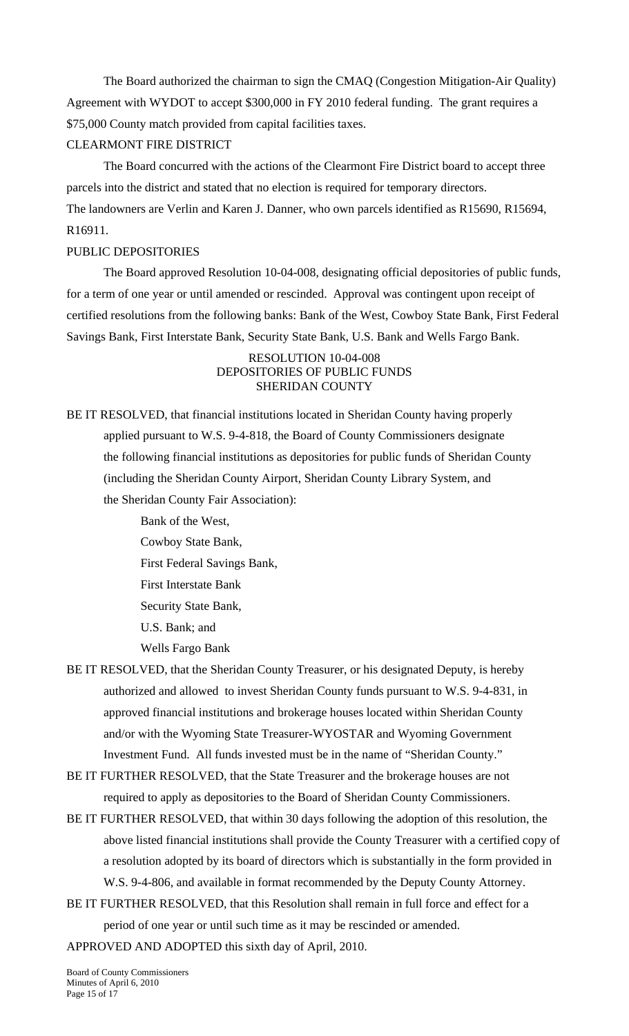The Board authorized the chairman to sign the CMAQ (Congestion Mitigation-Air Quality) Agreement with WYDOT to accept \$300,000 in FY 2010 federal funding. The grant requires a \$75,000 County match provided from capital facilities taxes.

### CLEARMONT FIRE DISTRICT

The Board concurred with the actions of the Clearmont Fire District board to accept three parcels into the district and stated that no election is required for temporary directors. The landowners are Verlin and Karen J. Danner, who own parcels identified as R15690, R15694, R16911.

## PUBLIC DEPOSITORIES

The Board approved Resolution 10-04-008, designating official depositories of public funds, for a term of one year or until amended or rescinded. Approval was contingent upon receipt of certified resolutions from the following banks: Bank of the West, Cowboy State Bank, First Federal Savings Bank, First Interstate Bank, Security State Bank, U.S. Bank and Wells Fargo Bank.

#### RESOLUTION 10-04-008 DEPOSITORIES OF PUBLIC FUNDS SHERIDAN COUNTY

BE IT RESOLVED, that financial institutions located in Sheridan County having properly applied pursuant to W.S. 9-4-818, the Board of County Commissioners designate the following financial institutions as depositories for public funds of Sheridan County (including the Sheridan County Airport, Sheridan County Library System, and the Sheridan County Fair Association):

> Bank of the West, Cowboy State Bank, First Federal Savings Bank, First Interstate Bank Security State Bank, U.S. Bank; and Wells Fargo Bank

- BE IT RESOLVED, that the Sheridan County Treasurer, or his designated Deputy, is hereby authorized and allowed to invest Sheridan County funds pursuant to W.S. 9-4-831, in approved financial institutions and brokerage houses located within Sheridan County and/or with the Wyoming State Treasurer-WYOSTAR and Wyoming Government Investment Fund. All funds invested must be in the name of "Sheridan County."
- BE IT FURTHER RESOLVED, that the State Treasurer and the brokerage houses are not required to apply as depositories to the Board of Sheridan County Commissioners.
- BE IT FURTHER RESOLVED, that within 30 days following the adoption of this resolution, the above listed financial institutions shall provide the County Treasurer with a certified copy of a resolution adopted by its board of directors which is substantially in the form provided in W.S. 9-4-806, and available in format recommended by the Deputy County Attorney.
- BE IT FURTHER RESOLVED, that this Resolution shall remain in full force and effect for a period of one year or until such time as it may be rescinded or amended.

APPROVED AND ADOPTED this sixth day of April, 2010.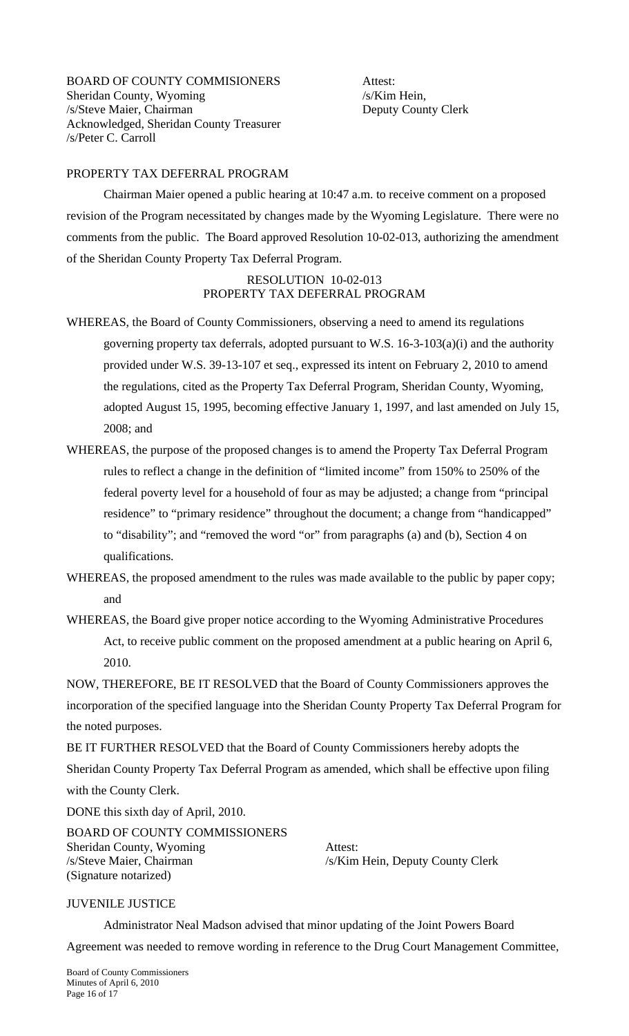## PROPERTY TAX DEFERRAL PROGRAM

 Chairman Maier opened a public hearing at 10:47 a.m. to receive comment on a proposed revision of the Program necessitated by changes made by the Wyoming Legislature. There were no comments from the public. The Board approved Resolution 10-02-013, authorizing the amendment of the Sheridan County Property Tax Deferral Program.

## RESOLUTION 10-02-013 PROPERTY TAX DEFERRAL PROGRAM

- WHEREAS, the Board of County Commissioners, observing a need to amend its regulations governing property tax deferrals, adopted pursuant to W.S. 16-3-103(a)(i) and the authority provided under W.S. 39-13-107 et seq., expressed its intent on February 2, 2010 to amend the regulations, cited as the Property Tax Deferral Program, Sheridan County, Wyoming, adopted August 15, 1995, becoming effective January 1, 1997, and last amended on July 15, 2008; and
- WHEREAS, the purpose of the proposed changes is to amend the Property Tax Deferral Program rules to reflect a change in the definition of "limited income" from 150% to 250% of the federal poverty level for a household of four as may be adjusted; a change from "principal residence" to "primary residence" throughout the document; a change from "handicapped" to "disability"; and "removed the word "or" from paragraphs (a) and (b), Section 4 on qualifications.
- WHEREAS, the proposed amendment to the rules was made available to the public by paper copy; and
- WHEREAS, the Board give proper notice according to the Wyoming Administrative Procedures Act, to receive public comment on the proposed amendment at a public hearing on April 6, 2010.

NOW, THEREFORE, BE IT RESOLVED that the Board of County Commissioners approves the incorporation of the specified language into the Sheridan County Property Tax Deferral Program for the noted purposes.

BE IT FURTHER RESOLVED that the Board of County Commissioners hereby adopts the Sheridan County Property Tax Deferral Program as amended, which shall be effective upon filing with the County Clerk.

DONE this sixth day of April, 2010.

BOARD OF COUNTY COMMISSIONERS Sheridan County, Wyoming Attest: /s/Steve Maier, Chairman /s/Kim Hein, Deputy County Clerk (Signature notarized)

### JUVENILE JUSTICE

Administrator Neal Madson advised that minor updating of the Joint Powers Board

Agreement was needed to remove wording in reference to the Drug Court Management Committee,